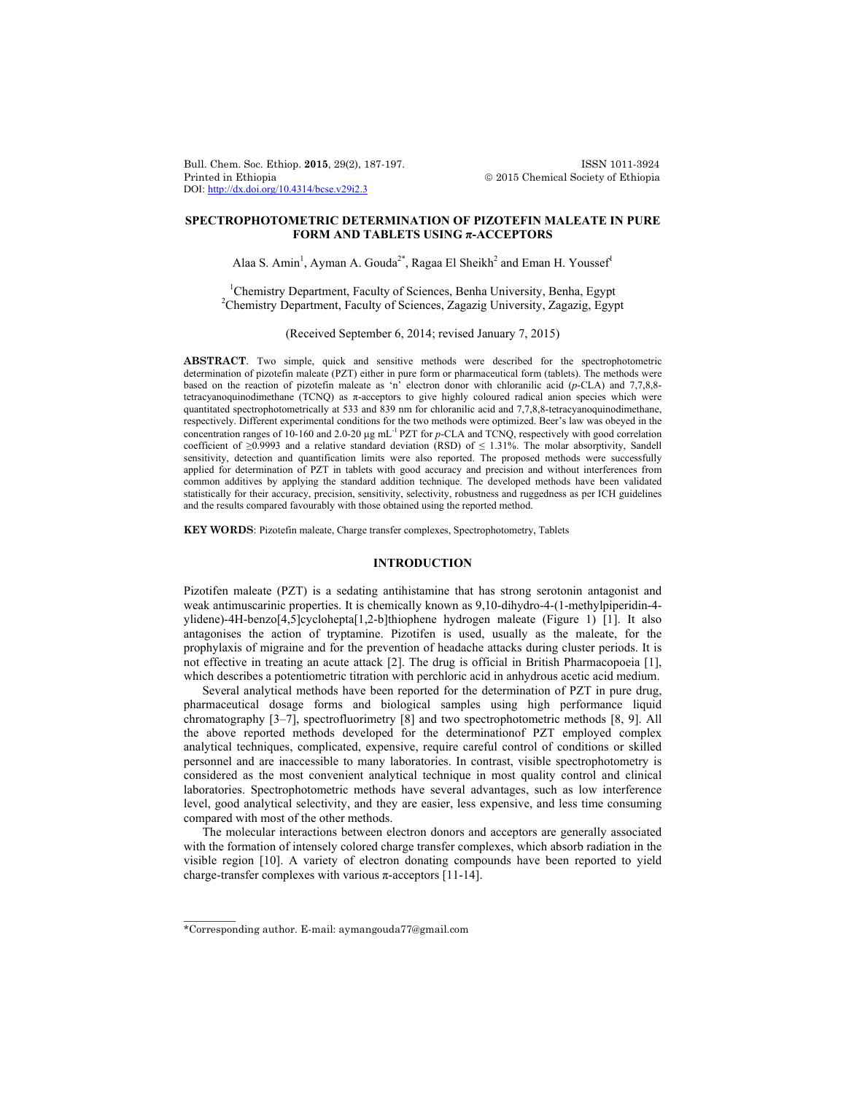Bull. Chem. Soc. Ethiop. **2015**, 29(2), 187-197. ISSN 1011-3924 Printed in Ethiopia 2015 Chemical Society of Ethiopia DOI: http://dx.doi.org/10.4314/bcse.v29i2.3

# **SPECTROPHOTOMETRIC DETERMINATION OF PIZOTEFIN MALEATE IN PURE FORM AND TABLETS USING π-ACCEPTORS**

Alaa S. Amin<sup>1</sup>, Ayman A. Gouda<sup>2\*</sup>, Ragaa El Sheikh<sup>2</sup> and Eman H. Youssef<sup>1</sup>

<sup>1</sup>Chemistry Department, Faculty of Sciences, Benha University, Benha, Egypt<br><sup>2</sup>Chemistry Department, Faculty of Sciences, Zegazia University, Zegazia Egypt <sup>2</sup>Chemistry Department, Faculty of Sciences, Zagazig University, Zagazig, Egypt

(Received September 6, 2014; revised January 7, 2015)

**ABSTRACT**. Two simple, quick and sensitive methods were described for the spectrophotometric determination of pizotefin maleate (PZT) either in pure form or pharmaceutical form (tablets). The methods were based on the reaction of pizotefin maleate as 'n' electron donor with chloranilic acid (*p*-CLA) and 7,7,8,8 tetracyanoquinodimethane (TCNQ) as π-acceptors to give highly coloured radical anion species which were quantitated spectrophotometrically at 533 and 839 nm for chloranilic acid and 7,7,8,8-tetracyanoquinodimethane, respectively. Different experimental conditions for the two methods were optimized. Beer's law was obeyed in the concentration ranges of 10-160 and 2.0-20  $\mu$ g mL<sup>-1</sup> PZT for *p*-CLA and TCNQ, respectively with good correlation coefficient of  $\geq$ 0.9993 and a relative standard deviation (RSD) of  $\leq$  1.31%. The molar absorptivity, Sandell sensitivity, detection and quantification limits were also reported. The proposed methods were successfully applied for determination of PZT in tablets with good accuracy and precision and without interferences from common additives by applying the standard addition technique. The developed methods have been validated statistically for their accuracy, precision, sensitivity, selectivity, robustness and ruggedness as per ICH guidelines and the results compared favourably with those obtained using the reported method.

**KEY WORDS**: Pizotefin maleate, Charge transfer complexes, Spectrophotometry, Tablets

## **INTRODUCTION**

Pizotifen maleate (PZT) is a sedating antihistamine that has strong serotonin antagonist and weak antimuscarinic properties. It is chemically known as 9,10-dihydro-4-(1-methylpiperidin-4 ylidene)-4H-benzo[4,5]cyclohepta[1,2-b]thiophene hydrogen maleate (Figure 1) [1]. It also antagonises the action of tryptamine. Pizotifen is used, usually as the maleate, for the prophylaxis of migraine and for the prevention of headache attacks during cluster periods. It is not effective in treating an acute attack [2]. The drug is official in British Pharmacopoeia [1], which describes a potentiometric titration with perchloric acid in anhydrous acetic acid medium.

Several analytical methods have been reported for the determination of PZT in pure drug, pharmaceutical dosage forms and biological samples using high performance liquid chromatography [3–7], spectrofluorimetry [8] and two spectrophotometric methods [8, 9]. All the above reported methods developed for the determinationof PZT employed complex analytical techniques, complicated, expensive, require careful control of conditions or skilled personnel and are inaccessible to many laboratories. In contrast, visible spectrophotometry is considered as the most convenient analytical technique in most quality control and clinical laboratories. Spectrophotometric methods have several advantages, such as low interference level, good analytical selectivity, and they are easier, less expensive, and less time consuming compared with most of the other methods.

The molecular interactions between electron donors and acceptors are generally associated with the formation of intensely colored charge transfer complexes, which absorb radiation in the visible region [10]. A variety of electron donating compounds have been reported to yield charge-transfer complexes with various  $\pi$ -acceptors [11-14].

 $\overline{\phantom{a}}$ 

<sup>\*</sup>Corresponding author. E-mail: aymangouda77@gmail.com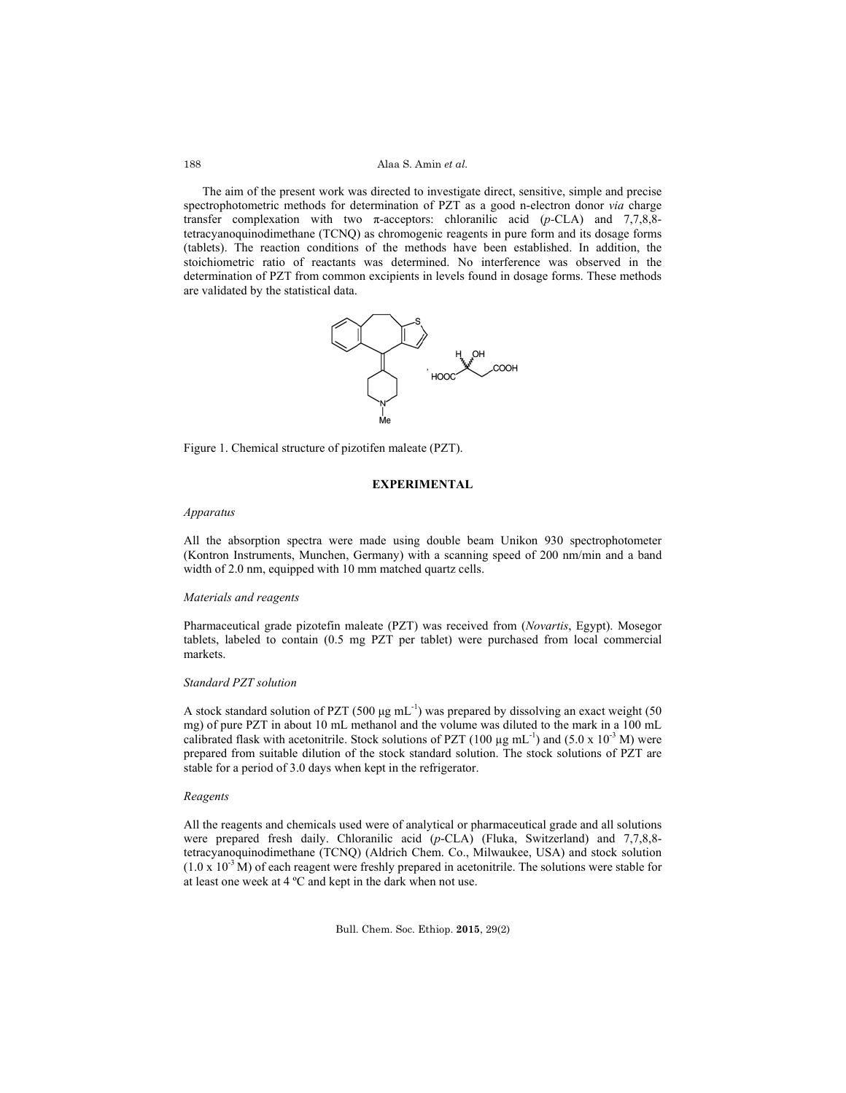### Alaa S. Amin *et al.*

The aim of the present work was directed to investigate direct, sensitive, simple and precise spectrophotometric methods for determination of PZT as a good n-electron donor *via* charge transfer complexation with two π-acceptors: chloranilic acid (*p-*CLA) and 7,7,8,8 tetracyanoquinodimethane (TCNQ) as chromogenic reagents in pure form and its dosage forms (tablets). The reaction conditions of the methods have been established. In addition, the stoichiometric ratio of reactants was determined. No interference was observed in the determination of PZT from common excipients in levels found in dosage forms. These methods are validated by the statistical data.



Figure 1. Chemical structure of pizotifen maleate (PZT).

## **EXPERIMENTAL**

#### *Apparatus*

All the absorption spectra were made using double beam Unikon 930 spectrophotometer (Kontron Instruments, Munchen, Germany) with a scanning speed of 200 nm/min and a band width of 2.0 nm, equipped with 10 mm matched quartz cells.

#### *Materials and reagents*

Pharmaceutical grade pizotefin maleate (PZT) was received from (*Novartis*, Egypt). Mosegor tablets, labeled to contain (0.5 mg PZT per tablet) were purchased from local commercial markets.

## *Standard PZT solution*

A stock standard solution of PZT (500  $\mu$ g mL<sup>-1</sup>) was prepared by dissolving an exact weight (50 mg) of pure PZT in about 10 mL methanol and the volume was diluted to the mark in a 100 mL calibrated flask with acetonitrile. Stock solutions of PZT (100  $\mu$ g mL<sup>-1</sup>) and (5.0 x 10<sup>-3</sup> M) were prepared from suitable dilution of the stock standard solution. The stock solutions of PZT are stable for a period of 3.0 days when kept in the refrigerator.

### *Reagents*

All the reagents and chemicals used were of analytical or pharmaceutical grade and all solutions were prepared fresh daily. Chloranilic acid (*p*-CLA) (Fluka, Switzerland) and 7,7,8,8 tetracyanoquinodimethane (TCNQ) (Aldrich Chem. Co., Milwaukee, USA) and stock solution  $(1.0 \times 10^{-3}$  M) of each reagent were freshly prepared in acetonitrile. The solutions were stable for at least one week at 4 ºC and kept in the dark when not use.

188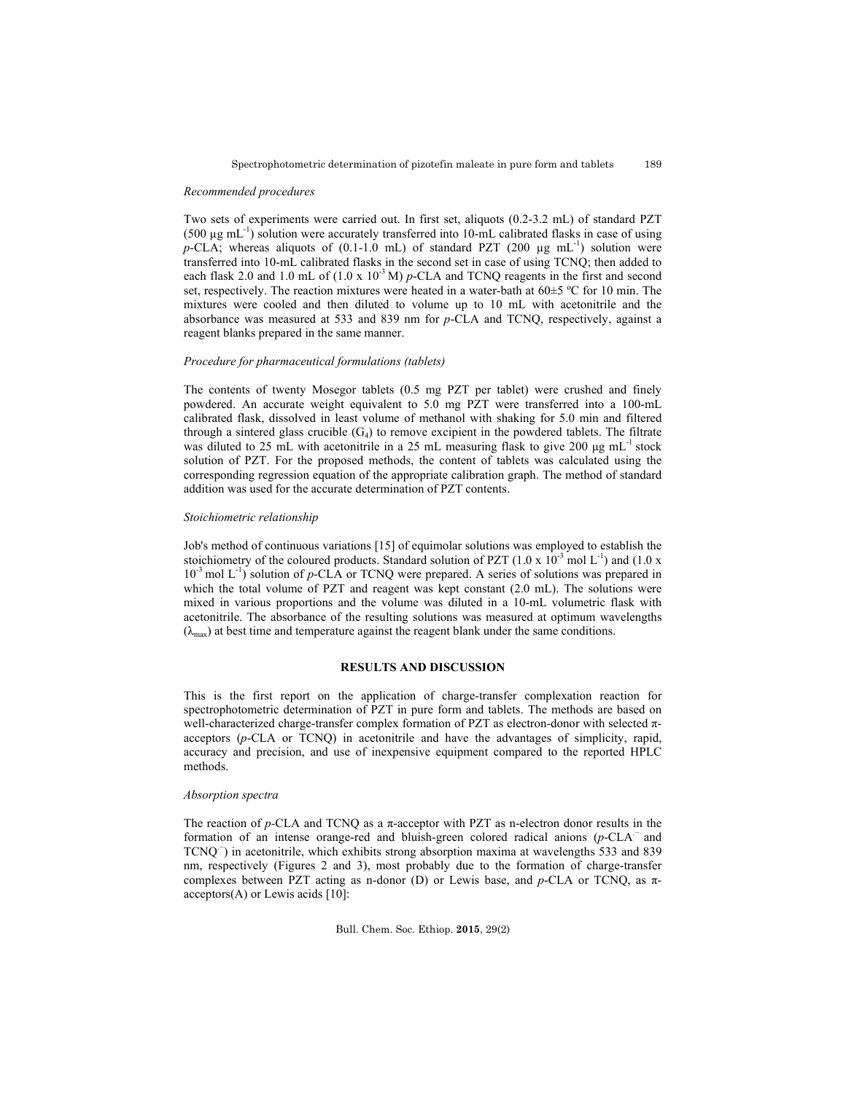#### *Recommended procedures*

Two sets of experiments were carried out. In first set, aliquots (0.2-3.2 mL) of standard PZT (500  $\mu$ g mL<sup>-1</sup>) solution were accurately transferred into 10-mL calibrated flasks in case of using *p*-CLA; whereas aliquots of (0.1-1.0 mL) of standard PZT (200  $\mu$ g mL<sup>-1</sup>) solution were transferred into 10-mL calibrated flasks in the second set in case of using TCNQ; then added to each flask 2.0 and 1.0 mL of  $(1.0 \times 10^{-3} \text{ M})$  *p*-CLA and TCNQ reagents in the first and second set, respectively. The reaction mixtures were heated in a water-bath at  $60\pm5$  °C for 10 min. The mixtures were cooled and then diluted to volume up to 10 mL with acetonitrile and the absorbance was measured at 533 and 839 nm for *p*-CLA and TCNQ, respectively, against a reagent blanks prepared in the same manner.

#### *Procedure for pharmaceutical formulations (tablets)*

The contents of twenty Mosegor tablets (0.5 mg PZT per tablet) were crushed and finely powdered. An accurate weight equivalent to 5.0 mg PZT were transferred into a 100-mL calibrated flask, dissolved in least volume of methanol with shaking for 5.0 min and filtered through a sintered glass crucible  $(G_4)$  to remove excipient in the powdered tablets. The filtrate was diluted to 25 mL with acetonitrile in a 25 mL measuring flask to give 200  $\mu$ g mL<sup>-1</sup> stock solution of PZT. For the proposed methods, the content of tablets was calculated using the corresponding regression equation of the appropriate calibration graph. The method of standard addition was used for the accurate determination of PZT contents.

#### *Stoichiometric relationship*

Job's method of continuous variations [15] of equimolar solutions was employed to establish the stoichiometry of the coloured products. Standard solution of PZT (1.0 x  $10^{-3}$  mol L<sup>-1</sup>) and (1.0 x 10<sup>-3</sup> mol L<sup>-1</sup>) solution of *p*-CLA or TCNQ were prepared. A series of solutions was prepared in which the total volume of PZT and reagent was kept constant (2.0 mL). The solutions were mixed in various proportions and the volume was diluted in a 10-mL volumetric flask with acetonitrile. The absorbance of the resulting solutions was measured at optimum wavelengths  $(\lambda_{\text{max}})$  at best time and temperature against the reagent blank under the same conditions.

## **RESULTS AND DISCUSSION**

This is the first report on the application of charge-transfer complexation reaction for spectrophotometric determination of PZT in pure form and tablets. The methods are based on well-characterized charge-transfer complex formation of PZT as electron-donor with selected πacceptors (*p*-CLA or TCNQ) in acetonitrile and have the advantages of simplicity, rapid, accuracy and precision, and use of inexpensive equipment compared to the reported HPLC methods.

### *Absorption spectra*

The reaction of *p-*CLA and TCNQ as a π-acceptor with PZT as n-electron donor results in the formation of an intense orange-red and bluish-green colored radical anions  $(p\text{-CLA}^{-})$  and TCNQ<sup>-</sup>) in acetonitrile, which exhibits strong absorption maxima at wavelengths 533 and 839 nm, respectively (Figures 2 and 3), most probably due to the formation of charge-transfer complexes between PZT acting as n-donor (D) or Lewis base, and *p*-CLA or TCNQ, as π $acceptors(A)$  or Lewis acids [10]: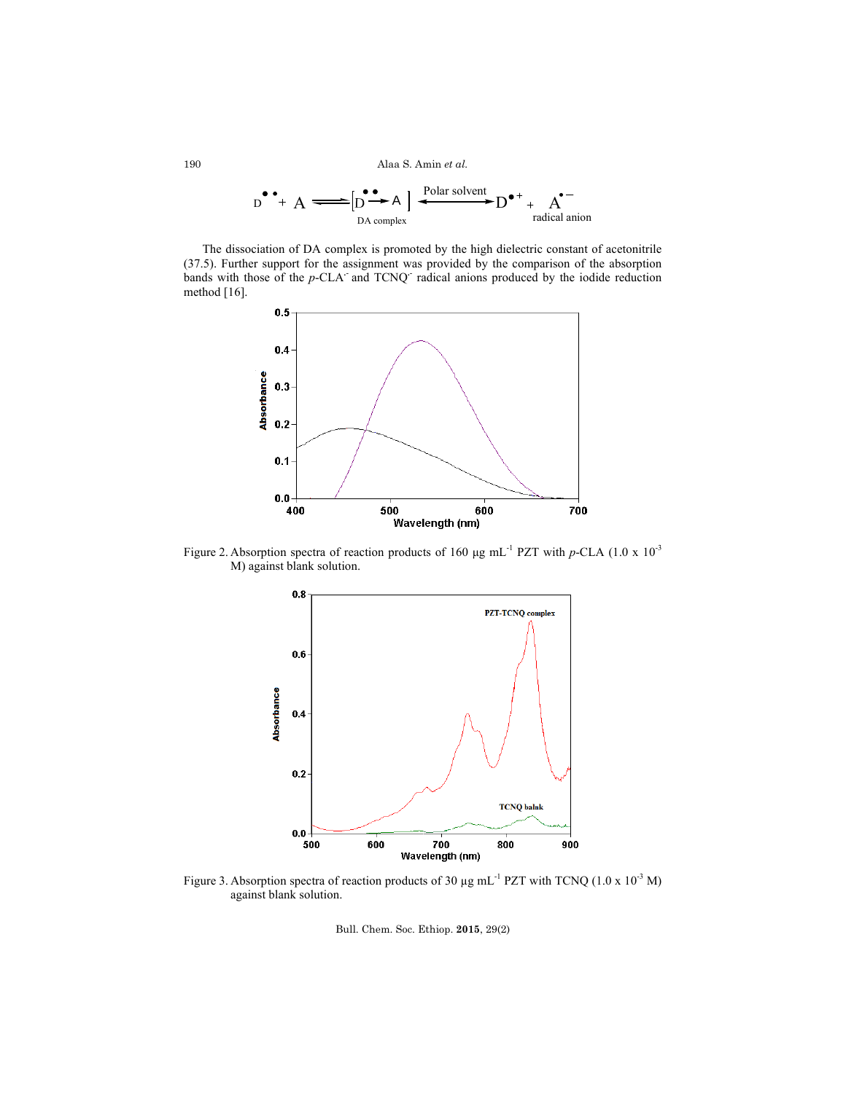Alaa S. Amin *et al.*

$$
D^{\bullet\bullet} + A \xrightarrow{D^{\bullet\bullet} \bullet} [D^{\bullet\bullet} \to A] \xrightarrow{Polar solvent} D^{\bullet\,+} + A^{\bullet\,-}
$$
  
radical anion

The dissociation of DA complex is promoted by the high dielectric constant of acetonitrile (37.5). Further support for the assignment was provided by the comparison of the absorption bands with those of the *p*-CLA and TCNQ radical anions produced by the iodide reduction method [16].



Figure 2. Absorption spectra of reaction products of 160 μg mL-1 PZT with *p*-CLA (1.0 x 10-3 M) against blank solution.



Figure 3. Absorption spectra of reaction products of 30  $\mu$ g mL<sup>-1</sup> PZT with TCNQ (1.0 x 10<sup>-3</sup> M) against blank solution.

Bull. Chem. Soc. Ethiop. **2015**, 29(2)

190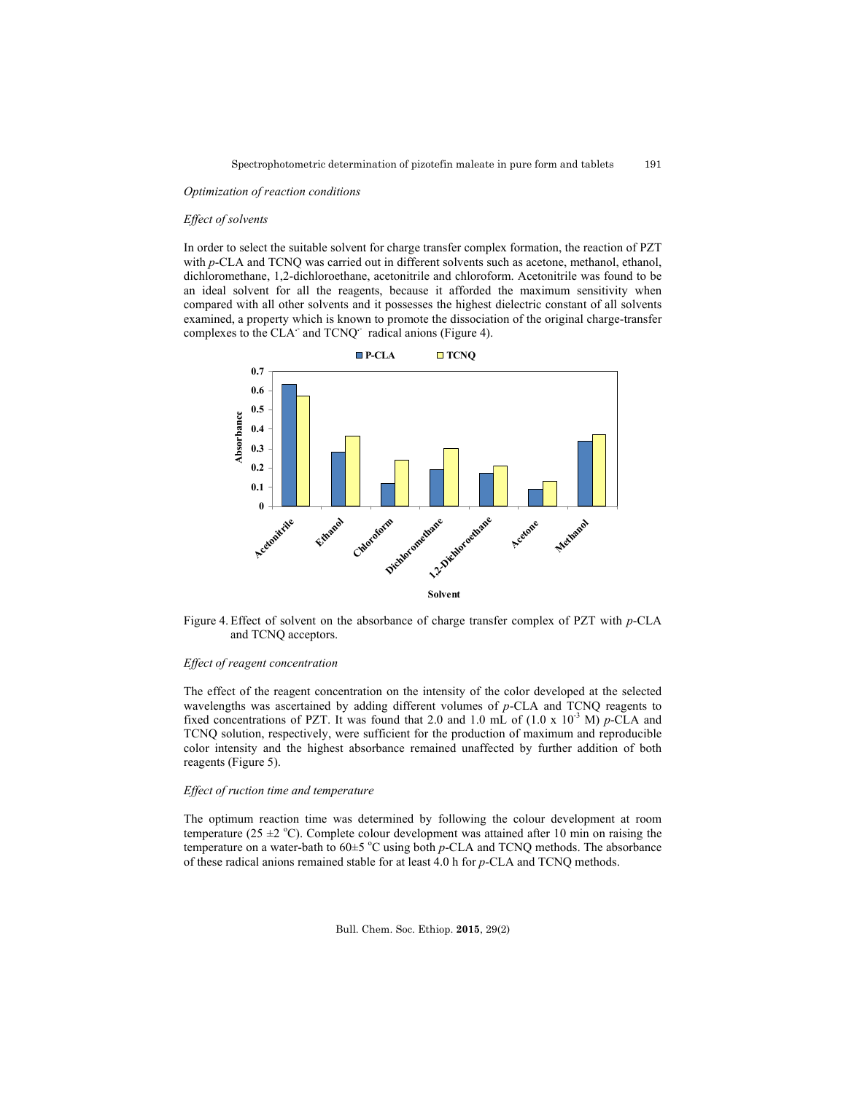#### *Optimization of reaction conditions*

## *Effect of solvents*

In order to select the suitable solvent for charge transfer complex formation, the reaction of PZT with *p*-CLA and TCNO was carried out in different solvents such as acetone, methanol, ethanol, dichloromethane, 1,2-dichloroethane, acetonitrile and chloroform. Acetonitrile was found to be an ideal solvent for all the reagents, because it afforded the maximum sensitivity when compared with all other solvents and it possesses the highest dielectric constant of all solvents examined, a property which is known to promote the dissociation of the original charge-transfer complexes to the CLA<sup> $\cdot$ </sup> and TCNQ<sup> $\cdot$ </sup> radical anions (Figure 4).



Figure 4. Effect of solvent on the absorbance of charge transfer complex of PZT with *p*-CLA and TCNQ acceptors.

#### *Effect of reagent concentration*

The effect of the reagent concentration on the intensity of the color developed at the selected wavelengths was ascertained by adding different volumes of *p*-CLA and TCNQ reagents to fixed concentrations of PZT. It was found that 2.0 and 1.0 mL of  $(1.0 \times 10^{-3} \text{ M})$  *p*-CLA and TCNQ solution, respectively, were sufficient for the production of maximum and reproducible color intensity and the highest absorbance remained unaffected by further addition of both reagents (Figure 5).

## *Effect of ruction time and temperature*

The optimum reaction time was determined by following the colour development at room temperature (25  $\pm$ 2 °C). Complete colour development was attained after 10 min on raising the temperature on a water-bath to  $60 \pm 5$  °C using both  $p$ -CLA and TCNQ methods. The absorbance of these radical anions remained stable for at least 4.0 h for *p*-CLA and TCNQ methods.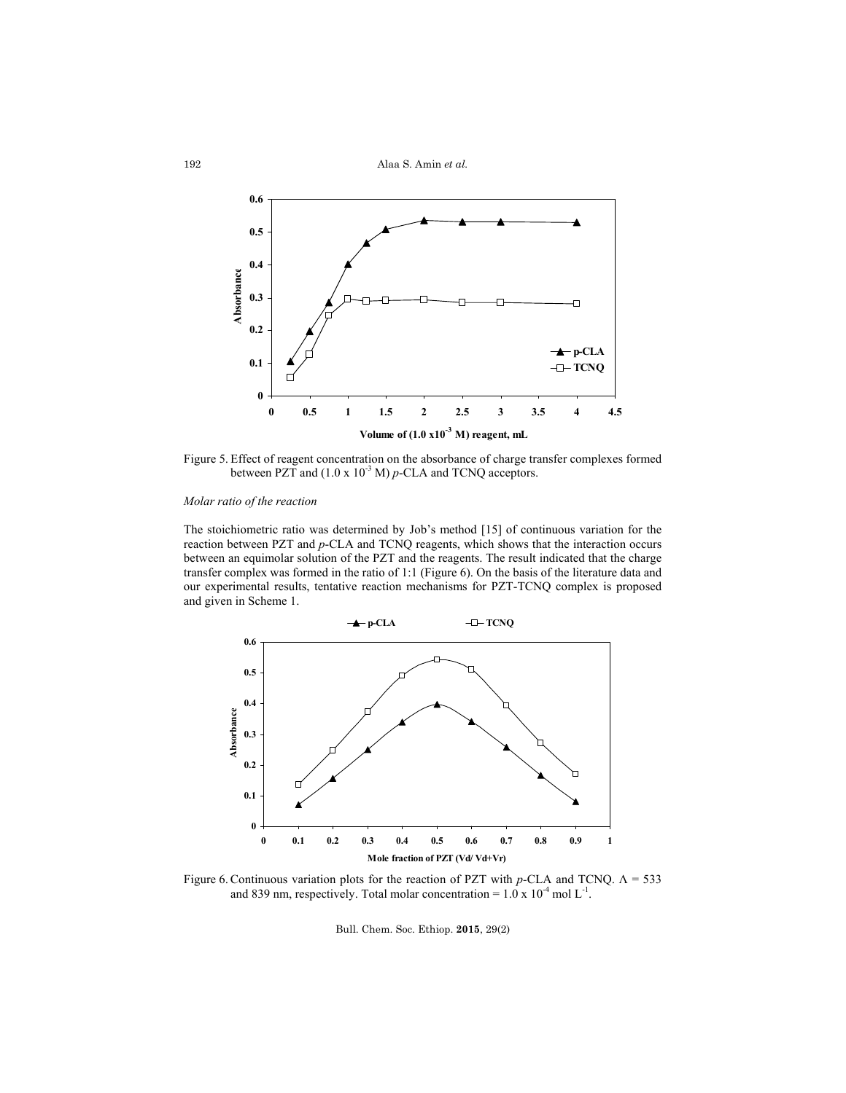Alaa S. Amin *et al.*



Figure 5. Effect of reagent concentration on the absorbance of charge transfer complexes formed between PZT and (1.0 x 10<sup>-3</sup> M) *p*-CLA and TCNQ acceptors.

# *Molar ratio of the reaction*

The stoichiometric ratio was determined by Job's method [15] of continuous variation for the reaction between PZT and *p*-CLA and TCNQ reagents, which shows that the interaction occurs between an equimolar solution of the PZT and the reagents. The result indicated that the charge transfer complex was formed in the ratio of 1:1 (Figure 6). On the basis of the literature data and our experimental results, tentative reaction mechanisms for PZT-TCNQ complex is proposed and given in Scheme 1.



Figure 6. Continuous variation plots for the reaction of PZT with *p-*CLA and TCNQ. Λ = 533 and 839 nm, respectively. Total molar concentration =  $1.0 \times 10^{-4}$  mol L<sup>-1</sup>.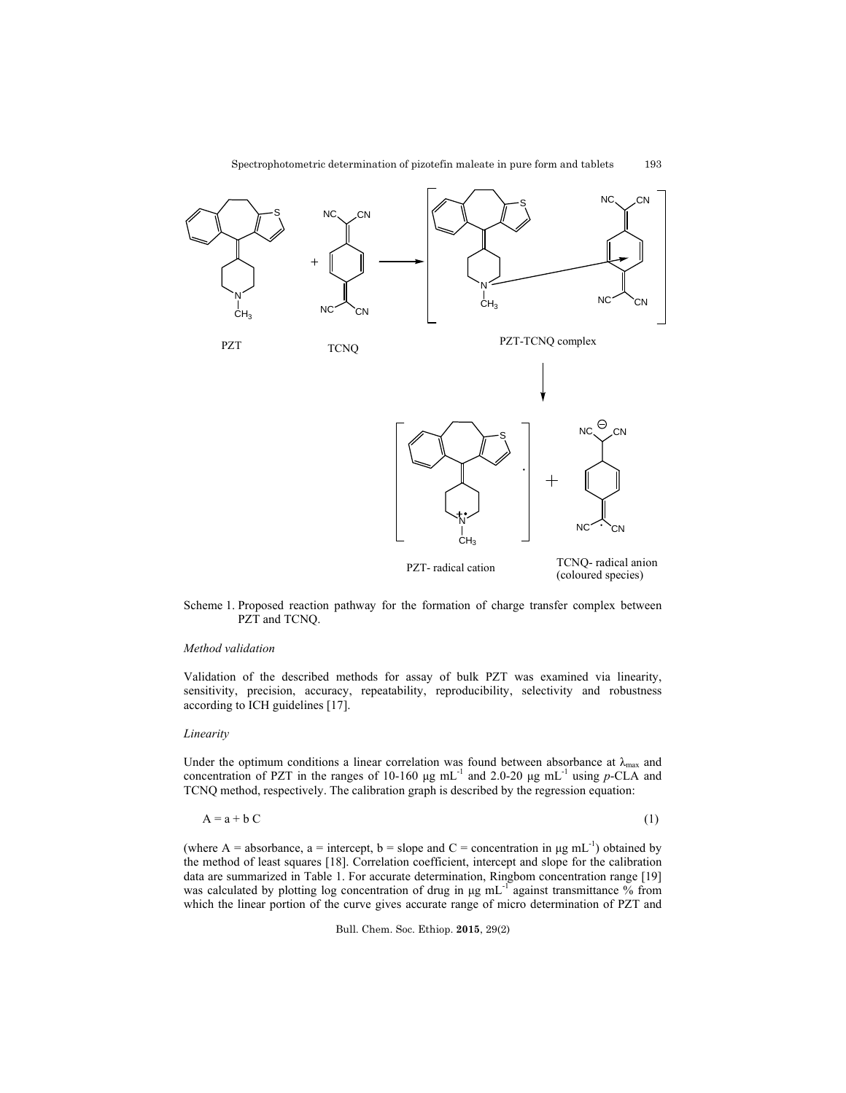

Scheme 1. Proposed reaction pathway for the formation of charge transfer complex between PZT and TCNQ.

# *Method validation*

Validation of the described methods for assay of bulk PZT was examined via linearity, sensitivity, precision, accuracy, repeatability, reproducibility, selectivity and robustness according to ICH guidelines [17].

#### *Linearity*

Under the optimum conditions a linear correlation was found between absorbance at  $\lambda_{\text{max}}$  and concentration of PZT in the ranges of 10-160  $\mu$ g mL<sup>-1</sup> and 2.0-20  $\mu$ g mL<sup>-1</sup> using *p*-CLA and TCNQ method, respectively. The calibration graph is described by the regression equation:

$$
A = a + b C \tag{1}
$$

(where A = absorbance, a = intercept, b = slope and C = concentration in  $\mu$ g mL<sup>-1</sup>) obtained by the method of least squares [18]. Correlation coefficient, intercept and slope for the calibration data are summarized in Table 1. For accurate determination, Ringbom concentration range [19] was calculated by plotting log concentration of drug in μg mL<sup>-1</sup> against transmittance % from which the linear portion of the curve gives accurate range of micro determination of PZT and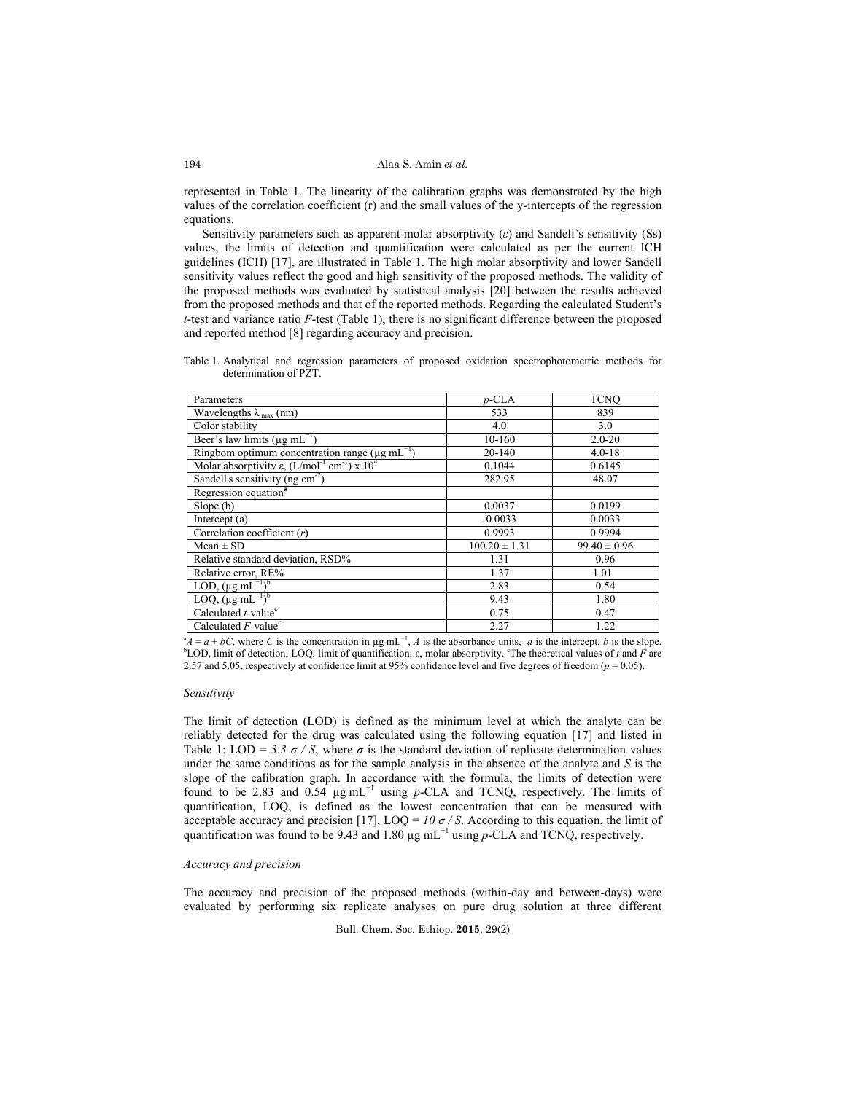represented in Table 1. The linearity of the calibration graphs was demonstrated by the high values of the correlation coefficient (r) and the small values of the y-intercepts of the regression equations.

Sensitivity parameters such as apparent molar absorptivity (*ε*) and Sandell's sensitivity (Ss) values, the limits of detection and quantification were calculated as per the current ICH guidelines (ICH) [17], are illustrated in Table 1. The high molar absorptivity and lower Sandell sensitivity values reflect the good and high sensitivity of the proposed methods. The validity of the proposed methods was evaluated by statistical analysis [20] between the results achieved from the proposed methods and that of the reported methods. Regarding the calculated Student's *t*-test and variance ratio *F*-test (Table 1), there is no significant difference between the proposed and reported method [8] regarding accuracy and precision.

Table 1. Analytical and regression parameters of proposed oxidation spectrophotometric methods for determination of PZT.

| Parameters                                                                   | $p$ -CLA          | <b>TCNO</b>      |
|------------------------------------------------------------------------------|-------------------|------------------|
| Wavelengths $\lambda_{\text{max}}$ (nm)                                      | 533               | 839              |
| Color stability                                                              | 4.0               | 3.0              |
| Beer's law limits ( $\mu$ g mL <sup>-1</sup> )                               | 10-160            | $2.0 - 20$       |
| Ringbom optimum concentration range ( $\mu$ g mL <sup>-1</sup> )             | $20 - 140$        | $4.0 - 18$       |
| Molar absorptivity $\varepsilon$ , $(L/mol^{-1}$ cm <sup>-1</sup> ) x $10^4$ | 0.1044            | 0.6145           |
| Sandell's sensitivity (ng $cm-2$ )                                           | 282.95            | 48.07            |
| Regression equation <sup>®</sup>                                             |                   |                  |
| Slope(b)                                                                     | 0.0037            | 0.0199           |
| Intercept (a)                                                                | $-0.0033$         | 0.0033           |
| Correlation coefficient $(r)$                                                | 0.9993            | 0.9994           |
| $Mean \pm SD$                                                                | $100.20 \pm 1.31$ | $99.40 \pm 0.96$ |
| Relative standard deviation, RSD%                                            | 1.31              | 0.96             |
| Relative error, RE%                                                          | 1.37              | 1.01             |
| LOD, $(\mu g \text{ mL}^{-1})^b$                                             | 2.83              | 0.54             |
| LOQ, $(\mu g \text{ mL}^{-1})^b$                                             | 9.43              | 1.80             |
| Calculated $t$ -value <sup>c</sup>                                           | 0.75              | 0.47             |
| Calculated $F$ -value <sup>c</sup>                                           | 2.27              | 1.22             |

Calculated *F*-value<sup>c</sup> 2.27 1.22 <br><sup>*A*</sup>  $A = a + bC$ , where *C* is the concentration in  $\mu g mL^{-1}$ , *A* is the absorbance units, *a* is the intercept, *b* is the slope. LOD, limit of detection; LOQ, limit of quantification;  $\varepsilon$ , molar absorptivity. <sup>o</sup>The theoretical values of *t* and *F* are 2.57 and 5.05, respectively at confidence limit at 95% confidence level and five degrees of freedom ( $p = 0.05$ ).

#### *Sensitivity*

The limit of detection (LOD) is defined as the minimum level at which the analyte can be reliably detected for the drug was calculated using the following equation [17] and listed in Table 1: LOD = 3.3  $\sigma$  / S, where  $\sigma$  is the standard deviation of replicate determination values under the same conditions as for the sample analysis in the absence of the analyte and  $S$  is the slope of the calibration graph. In accordance with the formula, the limits of detection were found to be 2.83 and 0.54 µg mL<sup>−</sup><sup>1</sup> using *p*-CLA and TCNQ, respectively. The limits of quantification, LOQ, is defined as the lowest concentration that can be measured with acceptable accuracy and precision [17],  $\text{LOQ} = 10 \sigma / S$ . According to this equation, the limit of quantification was found to be 9.43 and 1.80  $\mu$ g mL<sup>-1</sup> using *p*-CLA and TCNQ, respectively.

## *Accuracy and precision*

The accuracy and precision of the proposed methods (within-day and between-days) were evaluated by performing six replicate analyses on pure drug solution at three different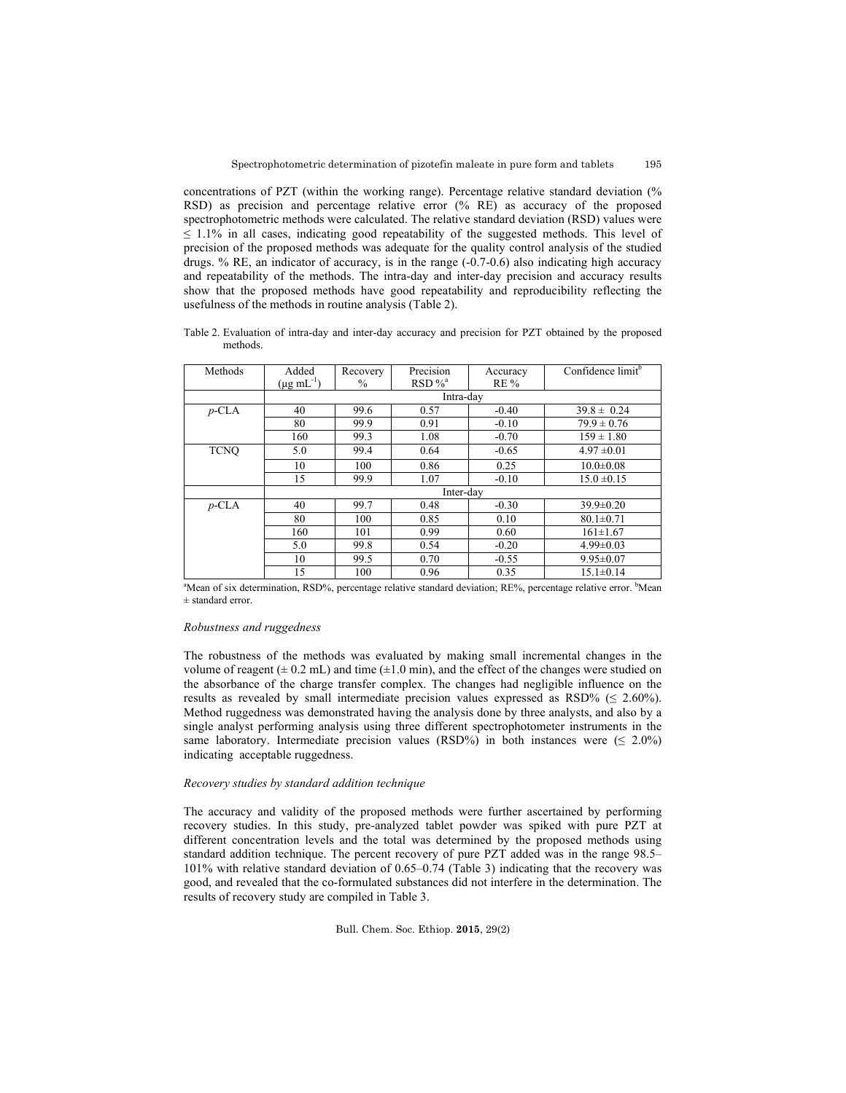195

concentrations of PZT (within the working range). Percentage relative standard deviation (% RSD) as precision and percentage relative error (% RE) as accuracy of the proposed spectrophotometric methods were calculated. The relative standard deviation (RSD) values were  $\leq$  1.1% in all cases, indicating good repeatability of the suggested methods. This level of precision of the proposed methods was adequate for the quality control analysis of the studied drugs. % RE, an indicator of accuracy, is in the range  $(-0.7-0.6)$  also indicating high accuracy and repeatability of the methods. The intra-day and inter-day precision and accuracy results show that the proposed methods have good repeatability and reproducibility reflecting the usefulness of the methods in routine analysis (Table 2).

Table 2. Evaluation of intra-day and inter-day accuracy and precision for PZT obtained by the proposed methods.

| Methods     | Added                     |          | Precision             |          | Confidence limit <sup>b</sup> |
|-------------|---------------------------|----------|-----------------------|----------|-------------------------------|
|             |                           | Recovery |                       | Accuracy |                               |
|             | $(\mu g \text{ mL}^{-1})$ | $\%$     | $RSD \%$ <sup>a</sup> | $RE\%$   |                               |
|             | Intra-dav                 |          |                       |          |                               |
| $p$ -CLA    | 40                        | 99.6     | 0.57                  | $-0.40$  | $39.8 \pm 0.24$               |
|             | 80                        | 99.9     | 0.91                  | $-0.10$  | $79.9 \pm 0.76$               |
|             | 160                       | 99.3     | 1.08                  | $-0.70$  | $159 \pm 1.80$                |
| <b>TCNO</b> | 5.0                       | 99.4     | 0.64                  | $-0.65$  | $4.97 \pm 0.01$               |
|             | 10                        | 100      | 0.86                  | 0.25     | $10.0 \pm 0.08$               |
|             | 15                        | 99.9     | 1.07                  | $-0.10$  | $15.0 \pm 0.15$               |
|             | Inter-day                 |          |                       |          |                               |
| $p$ -CLA    | 40                        | 99.7     | 0.48                  | $-0.30$  | $39.9 \pm 0.20$               |
|             | 80                        | 100      | 0.85                  | 0.10     | $80.1 \pm 0.71$               |
|             | 160                       | 101      | 0.99                  | 0.60     | $161 \pm 1.67$                |
|             | 5.0                       | 99.8     | 0.54                  | $-0.20$  | $4.99 \pm 0.03$               |
|             | 10                        | 99.5     | 0.70                  | $-0.55$  | $9.95 \pm 0.07$               |
|             | 15                        | 100      | 0.96                  | 0.35     | $15.1 \pm 0.14$               |

15 100 0.96 0.35 15.1±0.14<br>
<sup>a</sup>Mean of six determination, RSD%, percentage relative standard deviation; RE%, percentage relative error. <sup>b</sup>Mean ± standard error.

### *Robustness and ruggedness*

The robustness of the methods was evaluated by making small incremental changes in the volume of reagent ( $\pm$  0.2 mL) and time ( $\pm$ 1.0 min), and the effect of the changes were studied on the absorbance of the charge transfer complex. The changes had negligible influence on the results as revealed by small intermediate precision values expressed as RSD% ( $\leq 2.60\%$ ). Method ruggedness was demonstrated having the analysis done by three analysts, and also by a single analyst performing analysis using three different spectrophotometer instruments in the same laboratory. Intermediate precision values (RSD%) in both instances were  $( \leq 2.0\%)$ indicating acceptable ruggedness.

# *Recovery studies by standard addition technique*

The accuracy and validity of the proposed methods were further ascertained by performing recovery studies. In this study, pre-analyzed tablet powder was spiked with pure PZT at different concentration levels and the total was determined by the proposed methods using standard addition technique. The percent recovery of pure PZT added was in the range 98.5– 101% with relative standard deviation of 0.65–0.74 (Table 3) indicating that the recovery was good, and revealed that the co-formulated substances did not interfere in the determination. The results of recovery study are compiled in Table 3.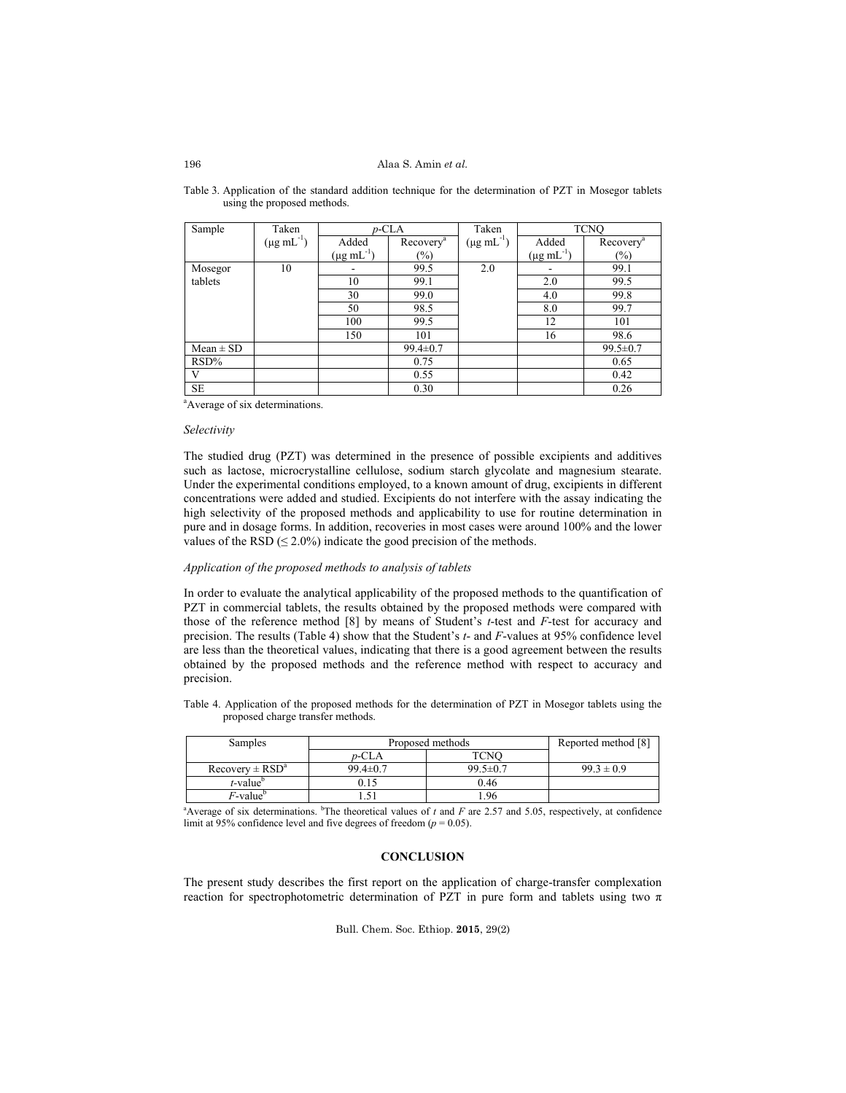### Alaa S. Amin *et al.*

| Sample        | Taken                     | $p$ -CLA                     |                       | Taken                     |                           | <b>TCNO</b>           |
|---------------|---------------------------|------------------------------|-----------------------|---------------------------|---------------------------|-----------------------|
|               | $(\mu g \text{ mL}^{-1})$ | Added                        | Recovery <sup>a</sup> | $(\mu g \text{ mL}^{-1})$ | Added                     | Recovery <sup>a</sup> |
|               |                           | $(\mu g \text{ mL}^{-1})$    | $(\%)$                |                           | $(\mu g \text{ mL}^{-1})$ | $(\%)$                |
| Mosegor       | 10                        | $\qquad \qquad \blacksquare$ | 99.5                  | 2.0                       | $\overline{\phantom{0}}$  | 99.1                  |
| tablets       |                           | 10                           | 99.1                  |                           | 2.0                       | 99.5                  |
|               |                           | 30                           | 99.0                  |                           | 4.0                       | 99.8                  |
|               |                           | 50                           | 98.5                  |                           | 8.0                       | 99.7                  |
|               |                           | 100                          | 99.5                  |                           | 12                        | 101                   |
|               |                           | 150                          | 101                   |                           | 16                        | 98.6                  |
| $Mean \pm SD$ |                           |                              | $99.4 \pm 0.7$        |                           |                           | $99.5 \pm 0.7$        |
| $RSD\%$       |                           |                              | 0.75                  |                           |                           | 0.65                  |
| V             |                           |                              | 0.55                  |                           |                           | 0.42                  |
| <b>SE</b>     |                           |                              | 0.30                  |                           |                           | 0.26                  |

Table 3. Application of the standard addition technique for the determination of PZT in Mosegor tablets using the proposed methods.

<sup>a</sup>Average of six determinations.

## *Selectivity*

The studied drug (PZT) was determined in the presence of possible excipients and additives such as lactose, microcrystalline cellulose, sodium starch glycolate and magnesium stearate. Under the experimental conditions employed, to a known amount of drug, excipients in different concentrations were added and studied. Excipients do not interfere with the assay indicating the high selectivity of the proposed methods and applicability to use for routine determination in pure and in dosage forms. In addition, recoveries in most cases were around 100% and the lower values of the RSD ( $\leq$  2.0%) indicate the good precision of the methods.

### *Application of the proposed methods to analysis of tablets*

In order to evaluate the analytical applicability of the proposed methods to the quantification of PZT in commercial tablets, the results obtained by the proposed methods were compared with those of the reference method [8] by means of Student's *t*-test and *F*-test for accuracy and precision. The results (Table 4) show that the Student's *t*- and *F*-values at 95% confidence level are less than the theoretical values, indicating that there is a good agreement between the results obtained by the proposed methods and the reference method with respect to accuracy and precision.

Table 4. Application of the proposed methods for the determination of PZT in Mosegor tablets using the proposed charge transfer methods.

| Samples                                                                                                                                   | Proposed methods |                | Reported method [8] |
|-------------------------------------------------------------------------------------------------------------------------------------------|------------------|----------------|---------------------|
|                                                                                                                                           | $p$ -CLA         | TCNO           |                     |
| $Recovery \pm RSD^a$                                                                                                                      | $99.4 \pm 0.7$   | $99.5 \pm 0.7$ | $99.3 \pm 0.9$      |
| $t$ -value                                                                                                                                | 0.15             | 0.46           |                     |
| $F$ -value <sup>b</sup>                                                                                                                   | $-51$            | 1.96           |                     |
| <sup>a</sup> Average of six determinations. <sup>b</sup> The theoretical values of t and F are 2.57 and 5.05, respectively, at confidence |                  |                |                     |

limit at 95% confidence level and five degrees of freedom ( $p = 0.05$ ).

## **CONCLUSION**

The present study describes the first report on the application of charge-transfer complexation reaction for spectrophotometric determination of PZT in pure form and tablets using two π